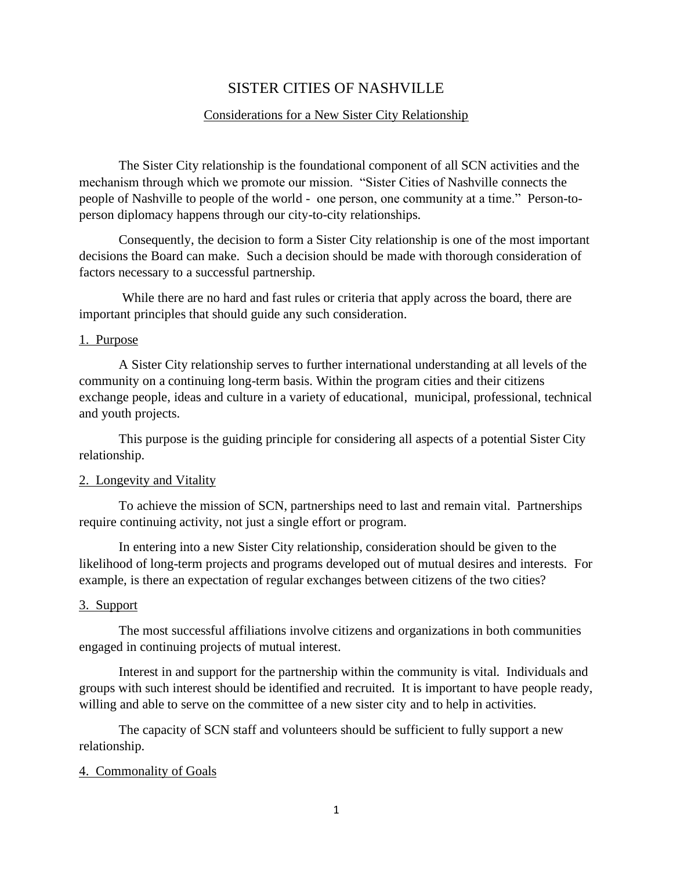# SISTER CITIES OF NASHVILLE

### Considerations for a New Sister City Relationship

The Sister City relationship is the foundational component of all SCN activities and the mechanism through which we promote our mission. "Sister Cities of Nashville connects the people of Nashville to people of the world - one person, one community at a time." Person-toperson diplomacy happens through our city-to-city relationships.

Consequently, the decision to form a Sister City relationship is one of the most important decisions the Board can make. Such a decision should be made with thorough consideration of factors necessary to a successful partnership.

While there are no hard and fast rules or criteria that apply across the board, there are important principles that should guide any such consideration.

#### 1. Purpose

A Sister City relationship serves to further international understanding at all levels of the community on a continuing long-term basis. Within the program cities and their citizens exchange people, ideas and culture in a variety of educational, municipal, professional, technical and youth projects.

This purpose is the guiding principle for considering all aspects of a potential Sister City relationship.

#### 2. Longevity and Vitality

To achieve the mission of SCN, partnerships need to last and remain vital. Partnerships require continuing activity, not just a single effort or program.

In entering into a new Sister City relationship, consideration should be given to the likelihood of long-term projects and programs developed out of mutual desires and interests. For example, is there an expectation of regular exchanges between citizens of the two cities?

## 3. Support

The most successful affiliations involve citizens and organizations in both communities engaged in continuing projects of mutual interest.

Interest in and support for the partnership within the community is vital. Individuals and groups with such interest should be identified and recruited. It is important to have people ready, willing and able to serve on the committee of a new sister city and to help in activities.

The capacity of SCN staff and volunteers should be sufficient to fully support a new relationship.

#### 4. Commonality of Goals